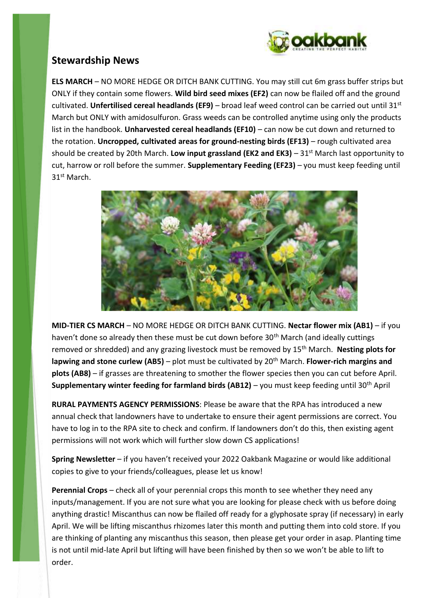

# **Stewardship News**

**ELS MARCH** – NO MORE HEDGE OR DITCH BANK CUTTING. You may still cut 6m grass buffer strips but ONLY if they contain some flowers. **Wild bird seed mixes (EF2)** can now be flailed off and the ground cultivated. **Unfertilised cereal headlands (EF9)** – broad leaf weed control can be carried out until 31st March but ONLY with amidosulfuron. Grass weeds can be controlled anytime using only the products list in the handbook. **Unharvested cereal headlands (EF10)** – can now be cut down and returned to the rotation. **Uncropped, cultivated areas for ground-nesting birds (EF13)** – rough cultivated area should be created by 20th March. **Low input grassland (EK2 and EK3)** – 31st March last opportunity to cut, harrow or roll before the summer. **Supplementary Feeding (EF23)** – you must keep feeding until 31st March.



**MID-TIER CS MARCH** – NO MORE HEDGE OR DITCH BANK CUTTING. **Nectar flower mix (AB1)** – if you haven't done so already then these must be cut down before 30<sup>th</sup> March (and ideally cuttings removed or shredded) and any grazing livestock must be removed by 15th March. **Nesting plots for lapwing and stone curlew (AB5)** – plot must be cultivated by 20th March. **Flower-rich margins and plots (AB8)** – if grasses are threatening to smother the flower species then you can cut before April. **Supplementary winter feeding for farmland birds (AB12)** – you must keep feeding until 30th April

**RURAL PAYMENTS AGENCY PERMISSIONS**: Please be aware that the RPA has introduced a new annual check that landowners have to undertake to ensure their agent permissions are correct. You have to log in to the RPA site to check and confirm. If landowners don't do this, then existing agent permissions will not work which will further slow down CS applications!

**Spring Newsletter** – if you haven't received your 2022 Oakbank Magazine or would like additional copies to give to your friends/colleagues, please let us know!

**Perennial Crops** – check all of your perennial crops this month to see whether they need any inputs/management. If you are not sure what you are looking for please check with us before doing anything drastic! Miscanthus can now be flailed off ready for a glyphosate spray (if necessary) in early April. We will be lifting miscanthus rhizomes later this month and putting them into cold store. If you are thinking of planting any miscanthus this season, then please get your order in asap. Planting time is not until mid-late April but lifting will have been finished by then so we won't be able to lift to order.